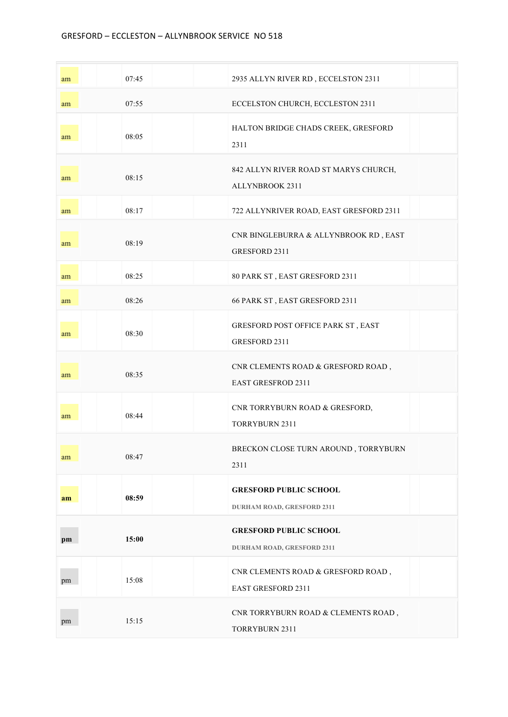| am | 07:45 | 2935 ALLYN RIVER RD, ECCELSTON 2311                                |
|----|-------|--------------------------------------------------------------------|
| am | 07:55 | ECCELSTON CHURCH, ECCLESTON 2311                                   |
| am | 08:05 | HALTON BRIDGE CHADS CREEK, GRESFORD<br>2311                        |
| am | 08:15 | 842 ALLYN RIVER ROAD ST MARYS CHURCH,<br>ALLYNBROOK 2311           |
| am | 08:17 | 722 ALLYNRIVER ROAD, EAST GRESFORD 2311                            |
| am | 08:19 | CNR BINGLEBURRA & ALLYNBROOK RD, EAST<br><b>GRESFORD 2311</b>      |
| am | 08:25 | 80 PARK ST, EAST GRESFORD 2311                                     |
| am | 08:26 | 66 PARK ST, EAST GRESFORD 2311                                     |
| am | 08:30 | GRESFORD POST OFFICE PARK ST, EAST<br><b>GRESFORD 2311</b>         |
| am | 08:35 | CNR CLEMENTS ROAD & GRESFORD ROAD,<br><b>EAST GRESFROD 2311</b>    |
| am | 08:44 | CNR TORRYBURN ROAD & GRESFORD,<br><b>TORRYBURN 2311</b>            |
| am | 08:47 | BRECKON CLOSE TURN AROUND, TORRYBURN<br>2311                       |
| am | 08:59 | <b>GRESFORD PUBLIC SCHOOL</b><br><b>DURHAM ROAD, GRESFORD 2311</b> |
| pm | 15:00 | <b>GRESFORD PUBLIC SCHOOL</b><br><b>DURHAM ROAD, GRESFORD 2311</b> |
| pm | 15:08 | CNR CLEMENTS ROAD & GRESFORD ROAD,<br>EAST GRESFORD 2311           |
| pm | 15:15 | CNR TORRYBURN ROAD & CLEMENTS ROAD,<br>TORRYBURN 2311              |